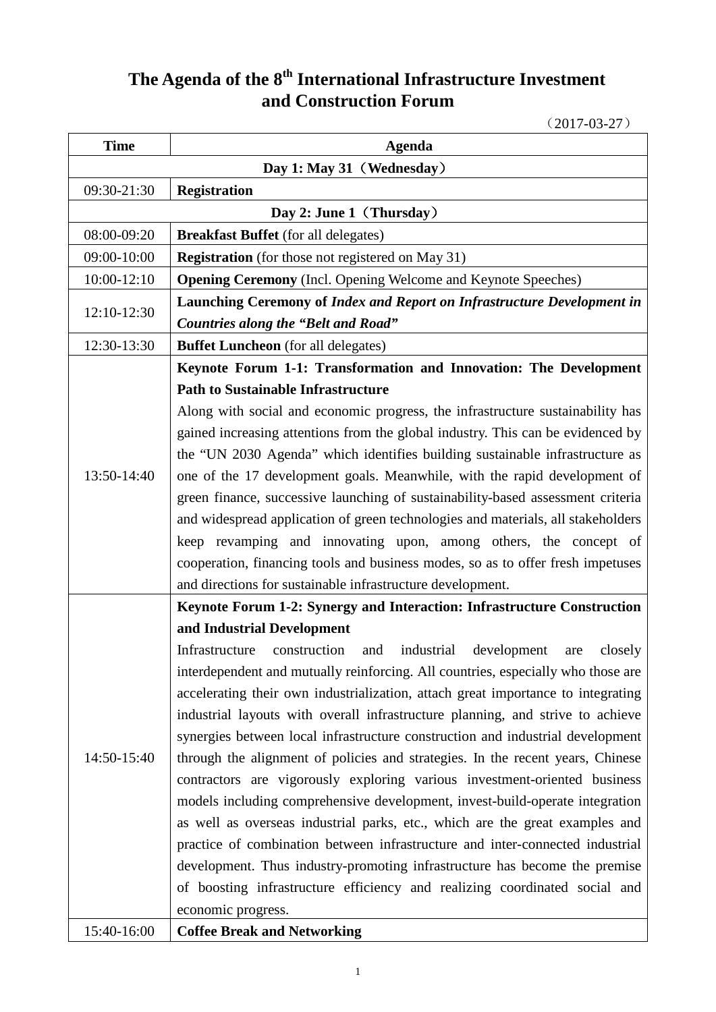## **The Agenda of the 8th International Infrastructure Investment and Construction Forum**

(2017-03-27)

| <b>Time</b>              | <b>Agenda</b>                                                                        |
|--------------------------|--------------------------------------------------------------------------------------|
|                          | Day 1: May 31 (Wednesday)                                                            |
| 09:30-21:30              | <b>Registration</b>                                                                  |
| Day 2: June 1 (Thursday) |                                                                                      |
| 08:00-09:20              | <b>Breakfast Buffet</b> (for all delegates)                                          |
| 09:00-10:00              | <b>Registration</b> (for those not registered on May 31)                             |
| $10:00 - 12:10$          | <b>Opening Ceremony</b> (Incl. Opening Welcome and Keynote Speeches)                 |
|                          | Launching Ceremony of Index and Report on Infrastructure Development in              |
| 12:10-12:30              | <b>Countries along the "Belt and Road"</b>                                           |
| 12:30-13:30              | <b>Buffet Luncheon</b> (for all delegates)                                           |
|                          | Keynote Forum 1-1: Transformation and Innovation: The Development                    |
|                          | <b>Path to Sustainable Infrastructure</b>                                            |
|                          | Along with social and economic progress, the infrastructure sustainability has       |
|                          | gained increasing attentions from the global industry. This can be evidenced by      |
|                          | the "UN 2030 Agenda" which identifies building sustainable infrastructure as         |
| 13:50-14:40              | one of the 17 development goals. Meanwhile, with the rapid development of            |
|                          | green finance, successive launching of sustainability-based assessment criteria      |
|                          | and widespread application of green technologies and materials, all stakeholders     |
|                          | keep revamping and innovating upon, among others, the concept of                     |
|                          | cooperation, financing tools and business modes, so as to offer fresh impetuses      |
|                          | and directions for sustainable infrastructure development.                           |
|                          | Keynote Forum 1-2: Synergy and Interaction: Infrastructure Construction              |
|                          | and Industrial Development                                                           |
|                          | construction<br>industrial<br>Infrastructure<br>and<br>development<br>closely<br>are |
|                          | interdependent and mutually reinforcing. All countries, especially who those are     |
|                          | accelerating their own industrialization, attach great importance to integrating     |
|                          | industrial layouts with overall infrastructure planning, and strive to achieve       |
|                          | synergies between local infrastructure construction and industrial development       |
| 14:50-15:40              | through the alignment of policies and strategies. In the recent years, Chinese       |
|                          | contractors are vigorously exploring various investment-oriented business            |
|                          | models including comprehensive development, invest-build-operate integration         |
|                          | as well as overseas industrial parks, etc., which are the great examples and         |
|                          | practice of combination between infrastructure and inter-connected industrial        |
|                          | development. Thus industry-promoting infrastructure has become the premise           |
|                          | of boosting infrastructure efficiency and realizing coordinated social and           |
|                          | economic progress.                                                                   |
| 15:40-16:00              | <b>Coffee Break and Networking</b>                                                   |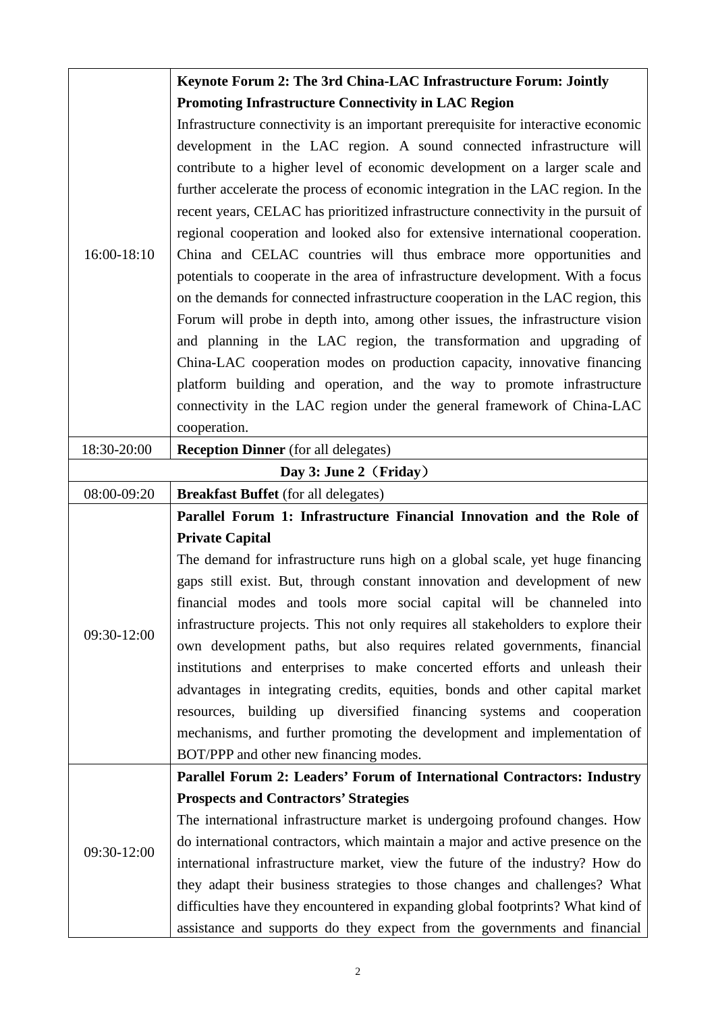| 16:00-18:10 | Keynote Forum 2: The 3rd China-LAC Infrastructure Forum: Jointly                                                                                          |
|-------------|-----------------------------------------------------------------------------------------------------------------------------------------------------------|
|             | <b>Promoting Infrastructure Connectivity in LAC Region</b>                                                                                                |
|             | Infrastructure connectivity is an important prerequisite for interactive economic                                                                         |
|             | development in the LAC region. A sound connected infrastructure will                                                                                      |
|             | contribute to a higher level of economic development on a larger scale and                                                                                |
|             | further accelerate the process of economic integration in the LAC region. In the                                                                          |
|             | recent years, CELAC has prioritized infrastructure connectivity in the pursuit of                                                                         |
|             | regional cooperation and looked also for extensive international cooperation.                                                                             |
|             | China and CELAC countries will thus embrace more opportunities and                                                                                        |
|             | potentials to cooperate in the area of infrastructure development. With a focus                                                                           |
|             | on the demands for connected infrastructure cooperation in the LAC region, this                                                                           |
|             | Forum will probe in depth into, among other issues, the infrastructure vision                                                                             |
|             | and planning in the LAC region, the transformation and upgrading of                                                                                       |
|             | China-LAC cooperation modes on production capacity, innovative financing                                                                                  |
|             | platform building and operation, and the way to promote infrastructure                                                                                    |
|             | connectivity in the LAC region under the general framework of China-LAC                                                                                   |
|             | cooperation.                                                                                                                                              |
| 18:30-20:00 | <b>Reception Dinner</b> (for all delegates)                                                                                                               |
|             | Day 3: June 2 (Friday)                                                                                                                                    |
| 08:00-09:20 | <b>Breakfast Buffet</b> (for all delegates)                                                                                                               |
|             |                                                                                                                                                           |
|             | Parallel Forum 1: Infrastructure Financial Innovation and the Role of                                                                                     |
|             | <b>Private Capital</b>                                                                                                                                    |
|             | The demand for infrastructure runs high on a global scale, yet huge financing                                                                             |
|             | gaps still exist. But, through constant innovation and development of new                                                                                 |
|             |                                                                                                                                                           |
|             | financial modes and tools more social capital will be channeled into<br>infrastructure projects. This not only requires all stakeholders to explore their |
| 09:30-12:00 | own development paths, but also requires related governments, financial                                                                                   |
|             | institutions and enterprises to make concerted efforts and unleash their                                                                                  |
|             | advantages in integrating credits, equities, bonds and other capital market                                                                               |
|             | resources, building up diversified financing systems and cooperation                                                                                      |
|             | mechanisms, and further promoting the development and implementation of                                                                                   |
|             |                                                                                                                                                           |
|             | BOT/PPP and other new financing modes.<br>Parallel Forum 2: Leaders' Forum of International Contractors: Industry                                         |
|             | <b>Prospects and Contractors' Strategies</b>                                                                                                              |
|             | The international infrastructure market is undergoing profound changes. How                                                                               |
|             | do international contractors, which maintain a major and active presence on the                                                                           |
| 09:30-12:00 | international infrastructure market, view the future of the industry? How do                                                                              |
|             | they adapt their business strategies to those changes and challenges? What                                                                                |
|             | difficulties have they encountered in expanding global footprints? What kind of                                                                           |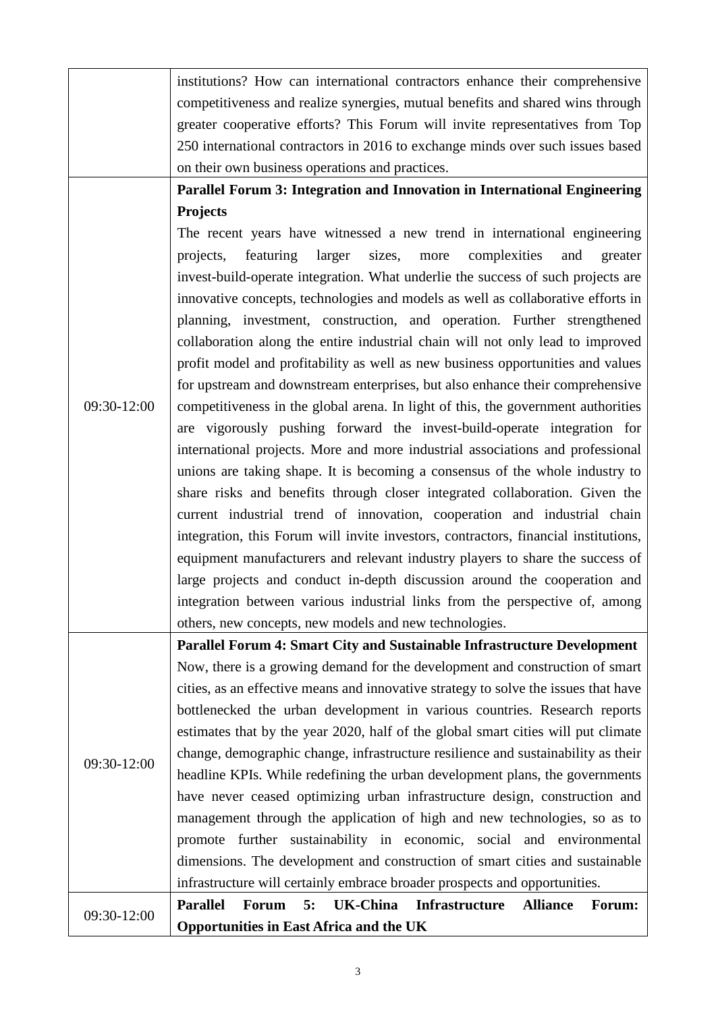|             | institutions? How can international contractors enhance their comprehensive                             |
|-------------|---------------------------------------------------------------------------------------------------------|
|             | competitiveness and realize synergies, mutual benefits and shared wins through                          |
|             | greater cooperative efforts? This Forum will invite representatives from Top                            |
|             | 250 international contractors in 2016 to exchange minds over such issues based                          |
|             | on their own business operations and practices.                                                         |
|             | Parallel Forum 3: Integration and Innovation in International Engineering                               |
|             | <b>Projects</b>                                                                                         |
|             | The recent years have witnessed a new trend in international engineering                                |
|             | featuring<br>larger<br>sizes,<br>complexities<br>more<br>and<br>projects,<br>greater                    |
|             | invest-build-operate integration. What underlie the success of such projects are                        |
|             | innovative concepts, technologies and models as well as collaborative efforts in                        |
|             | planning, investment, construction, and operation. Further strengthened                                 |
|             | collaboration along the entire industrial chain will not only lead to improved                          |
|             | profit model and profitability as well as new business opportunities and values                         |
|             | for upstream and downstream enterprises, but also enhance their comprehensive                           |
| 09:30-12:00 | competitiveness in the global arena. In light of this, the government authorities                       |
|             | are vigorously pushing forward the invest-build-operate integration for                                 |
|             | international projects. More and more industrial associations and professional                          |
|             |                                                                                                         |
|             | unions are taking shape. It is becoming a consensus of the whole industry to                            |
|             | share risks and benefits through closer integrated collaboration. Given the                             |
|             | current industrial trend of innovation, cooperation and industrial chain                                |
|             | integration, this Forum will invite investors, contractors, financial institutions,                     |
|             | equipment manufacturers and relevant industry players to share the success of                           |
|             | large projects and conduct in-depth discussion around the cooperation and                               |
|             | integration between various industrial links from the perspective of, among                             |
|             | others, new concepts, new models and new technologies.                                                  |
|             | Parallel Forum 4: Smart City and Sustainable Infrastructure Development                                 |
|             | Now, there is a growing demand for the development and construction of smart                            |
|             | cities, as an effective means and innovative strategy to solve the issues that have                     |
|             | bottlenecked the urban development in various countries. Research reports                               |
|             | estimates that by the year 2020, half of the global smart cities will put climate                       |
| 09:30-12:00 | change, demographic change, infrastructure resilience and sustainability as their                       |
|             | headline KPIs. While redefining the urban development plans, the governments                            |
|             | have never ceased optimizing urban infrastructure design, construction and                              |
|             | management through the application of high and new technologies, so as to                               |
|             | promote further sustainability in economic, social and environmental                                    |
|             | dimensions. The development and construction of smart cities and sustainable                            |
|             | infrastructure will certainly embrace broader prospects and opportunities.                              |
|             | <b>UK-China</b><br><b>Parallel</b><br>5:<br><b>Infrastructure</b><br><b>Alliance</b><br>Forum:<br>Forum |
| 09:30-12:00 | <b>Opportunities in East Africa and the UK</b>                                                          |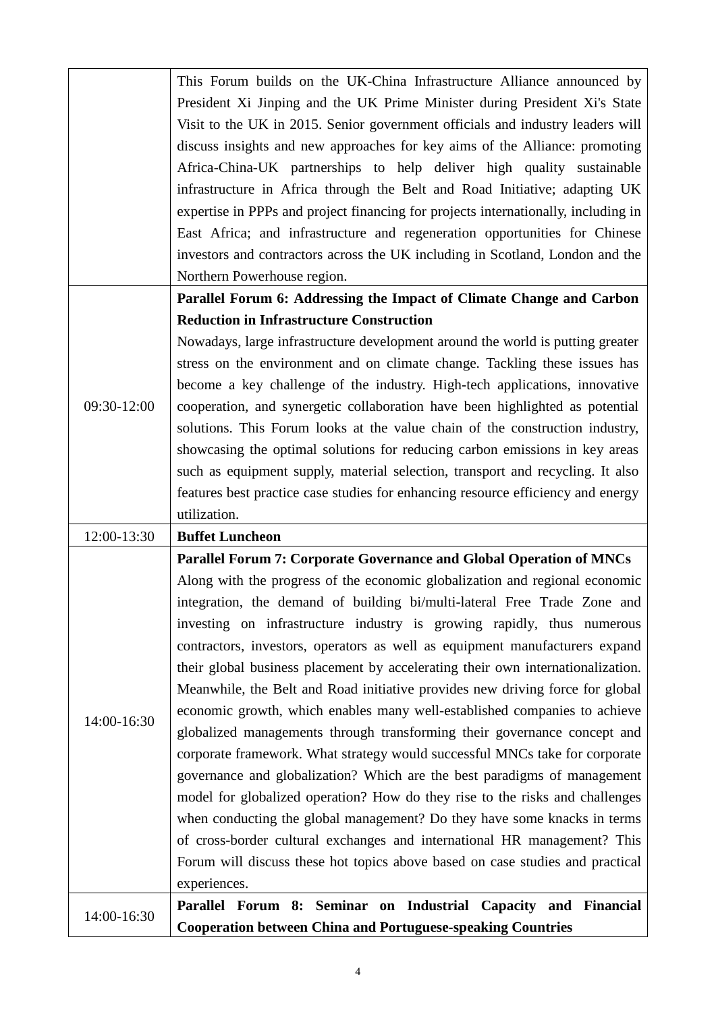|             | This Forum builds on the UK-China Infrastructure Alliance announced by             |
|-------------|------------------------------------------------------------------------------------|
|             | President Xi Jinping and the UK Prime Minister during President Xi's State         |
|             | Visit to the UK in 2015. Senior government officials and industry leaders will     |
|             | discuss insights and new approaches for key aims of the Alliance: promoting        |
|             | Africa-China-UK partnerships to help deliver high quality sustainable              |
|             | infrastructure in Africa through the Belt and Road Initiative; adapting UK         |
|             | expertise in PPPs and project financing for projects internationally, including in |
|             | East Africa; and infrastructure and regeneration opportunities for Chinese         |
|             | investors and contractors across the UK including in Scotland, London and the      |
|             | Northern Powerhouse region.                                                        |
|             | Parallel Forum 6: Addressing the Impact of Climate Change and Carbon               |
|             | <b>Reduction in Infrastructure Construction</b>                                    |
|             | Nowadays, large infrastructure development around the world is putting greater     |
|             | stress on the environment and on climate change. Tackling these issues has         |
|             | become a key challenge of the industry. High-tech applications, innovative         |
| 09:30-12:00 | cooperation, and synergetic collaboration have been highlighted as potential       |
|             | solutions. This Forum looks at the value chain of the construction industry,       |
|             | showcasing the optimal solutions for reducing carbon emissions in key areas        |
|             | such as equipment supply, material selection, transport and recycling. It also     |
|             | features best practice case studies for enhancing resource efficiency and energy   |
|             | utilization.                                                                       |
| 12:00-13:30 | <b>Buffet Luncheon</b>                                                             |
|             | <b>Parallel Forum 7: Corporate Governance and Global Operation of MNCs</b>         |
|             | Along with the progress of the economic globalization and regional economic        |
|             | integration, the demand of building bi/multi-lateral Free Trade Zone and           |
|             | investing on infrastructure industry is growing rapidly, thus numerous             |
|             | contractors, investors, operators as well as equipment manufacturers expand        |
|             | their global business placement by accelerating their own internationalization.    |
|             | Meanwhile, the Belt and Road initiative provides new driving force for global      |
| 14:00-16:30 | economic growth, which enables many well-established companies to achieve          |
|             | globalized managements through transforming their governance concept and           |
|             | corporate framework. What strategy would successful MNCs take for corporate        |
|             | governance and globalization? Which are the best paradigms of management           |
|             | model for globalized operation? How do they rise to the risks and challenges       |
|             | when conducting the global management? Do they have some knacks in terms           |
|             | of cross-border cultural exchanges and international HR management? This           |
|             | Forum will discuss these hot topics above based on case studies and practical      |
|             | experiences.                                                                       |
| 14:00-16:30 | Parallel Forum 8: Seminar on Industrial Capacity and Financial                     |
|             | <b>Cooperation between China and Portuguese-speaking Countries</b>                 |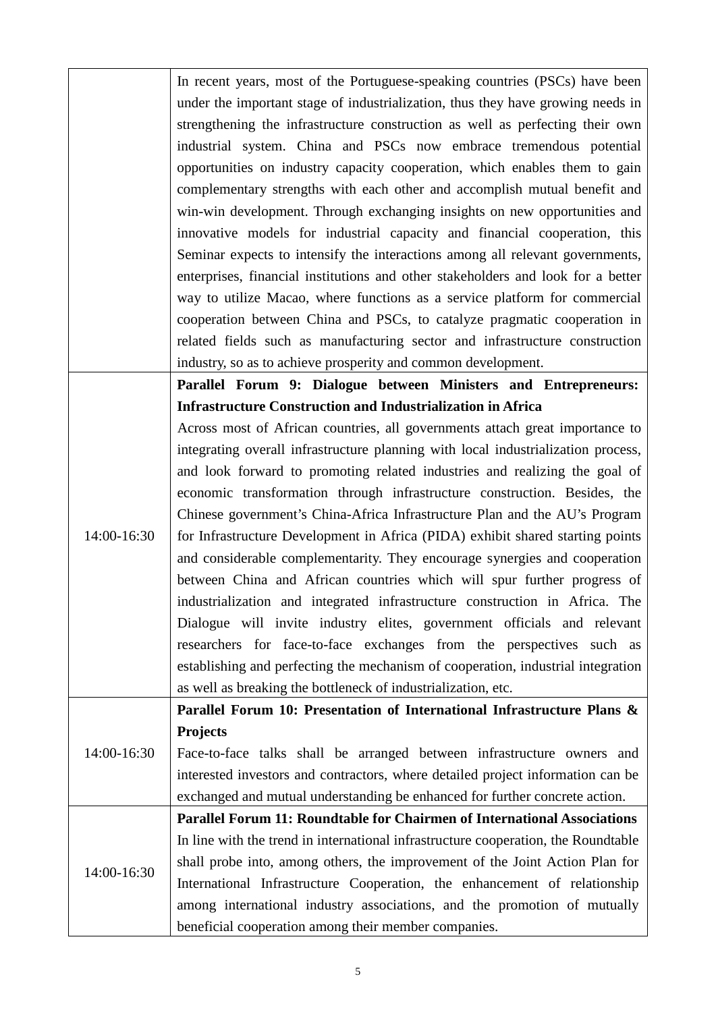|             | In recent years, most of the Portuguese-speaking countries (PSCs) have been        |
|-------------|------------------------------------------------------------------------------------|
|             | under the important stage of industrialization, thus they have growing needs in    |
|             | strengthening the infrastructure construction as well as perfecting their own      |
|             | industrial system. China and PSCs now embrace tremendous potential                 |
|             | opportunities on industry capacity cooperation, which enables them to gain         |
|             | complementary strengths with each other and accomplish mutual benefit and          |
|             | win-win development. Through exchanging insights on new opportunities and          |
|             | innovative models for industrial capacity and financial cooperation, this          |
|             | Seminar expects to intensify the interactions among all relevant governments,      |
|             | enterprises, financial institutions and other stakeholders and look for a better   |
|             | way to utilize Macao, where functions as a service platform for commercial         |
|             | cooperation between China and PSCs, to catalyze pragmatic cooperation in           |
|             | related fields such as manufacturing sector and infrastructure construction        |
|             | industry, so as to achieve prosperity and common development.                      |
|             |                                                                                    |
|             | Parallel Forum 9: Dialogue between Ministers and Entrepreneurs:                    |
|             | <b>Infrastructure Construction and Industrialization in Africa</b>                 |
|             | Across most of African countries, all governments attach great importance to       |
|             | integrating overall infrastructure planning with local industrialization process,  |
|             | and look forward to promoting related industries and realizing the goal of         |
|             | economic transformation through infrastructure construction. Besides, the          |
|             | Chinese government's China-Africa Infrastructure Plan and the AU's Program         |
| 14:00-16:30 | for Infrastructure Development in Africa (PIDA) exhibit shared starting points     |
|             | and considerable complementarity. They encourage synergies and cooperation         |
|             | between China and African countries which will spur further progress of            |
|             | industrialization and integrated infrastructure construction in Africa. The        |
|             | Dialogue will invite industry elites, government officials and relevant            |
|             | researchers for face-to-face exchanges from the perspectives such as               |
|             | establishing and perfecting the mechanism of cooperation, industrial integration   |
|             | as well as breaking the bottleneck of industrialization, etc.                      |
|             | Parallel Forum 10: Presentation of International Infrastructure Plans &            |
|             | <b>Projects</b>                                                                    |
| 14:00-16:30 | Face-to-face talks shall be arranged between infrastructure owners and             |
|             | interested investors and contractors, where detailed project information can be    |
|             | exchanged and mutual understanding be enhanced for further concrete action.        |
|             | <b>Parallel Forum 11: Roundtable for Chairmen of International Associations</b>    |
| 14:00-16:30 | In line with the trend in international infrastructure cooperation, the Roundtable |
|             | shall probe into, among others, the improvement of the Joint Action Plan for       |
|             | International Infrastructure Cooperation, the enhancement of relationship          |
|             | among international industry associations, and the promotion of mutually           |
|             | beneficial cooperation among their member companies.                               |
|             |                                                                                    |